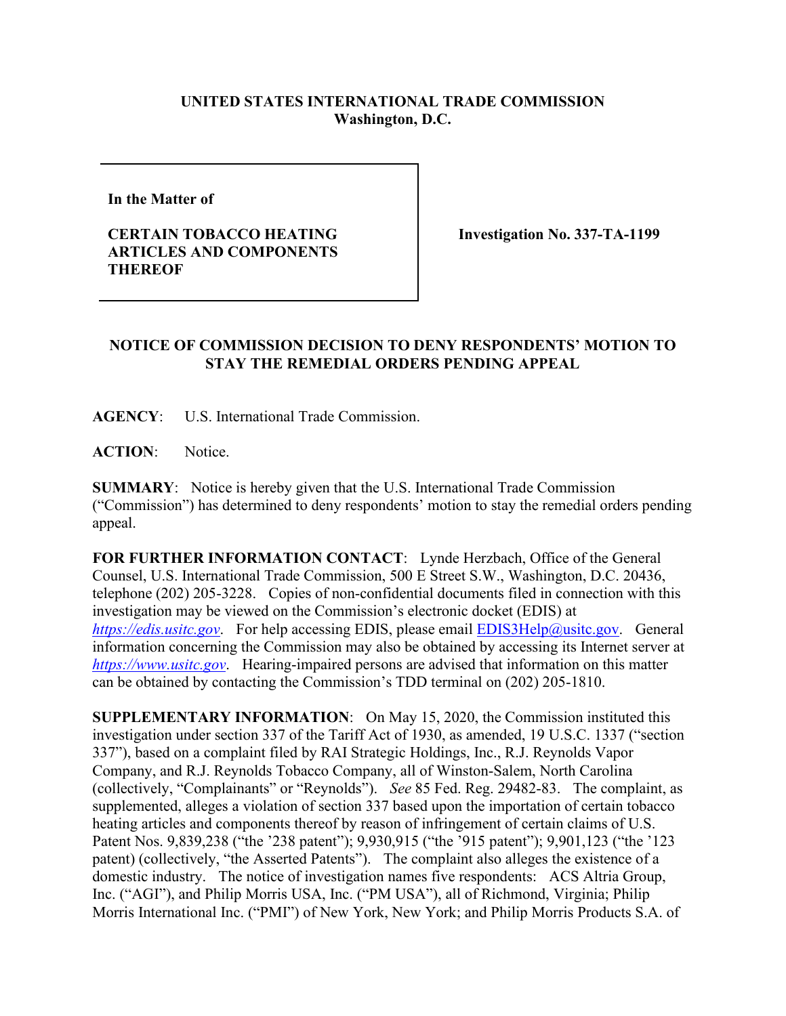## **UNITED STATES INTERNATIONAL TRADE COMMISSION Washington, D.C.**

**In the Matter of** 

## **CERTAIN TOBACCO HEATING ARTICLES AND COMPONENTS THEREOF**

**Investigation No. 337-TA-1199**

## **NOTICE OF COMMISSION DECISION TO DENY RESPONDENTS' MOTION TO STAY THE REMEDIAL ORDERS PENDING APPEAL**

**AGENCY**: U.S. International Trade Commission.

**ACTION**: Notice.

**SUMMARY**: Notice is hereby given that the U.S. International Trade Commission ("Commission") has determined to deny respondents' motion to stay the remedial orders pending appeal.

**FOR FURTHER INFORMATION CONTACT**: Lynde Herzbach, Office of the General Counsel, U.S. International Trade Commission, 500 E Street S.W., Washington, D.C. 20436, telephone (202) 205-3228. Copies of non-confidential documents filed in connection with this investigation may be viewed on the Commission's electronic docket (EDIS) at *[https://edis.usitc.gov](https://edis.usitc.gov/).* For help accessing EDIS, please email [EDIS3Help@usitc.gov.](mailto:EDIS3Help@usitc.gov) General information concerning the Commission may also be obtained by accessing its Internet server at *[https://www.usitc.gov](https://www.usitc.gov/)*. Hearing-impaired persons are advised that information on this matter can be obtained by contacting the Commission's TDD terminal on (202) 205-1810.

**SUPPLEMENTARY INFORMATION**: On May 15, 2020, the Commission instituted this investigation under section 337 of the Tariff Act of 1930, as amended, 19 U.S.C. 1337 ("section 337"), based on a complaint filed by RAI Strategic Holdings, Inc., R.J. Reynolds Vapor Company, and R.J. Reynolds Tobacco Company, all of Winston-Salem, North Carolina (collectively, "Complainants" or "Reynolds"). *See* 85 Fed. Reg. 29482-83. The complaint, as supplemented, alleges a violation of section 337 based upon the importation of certain tobacco heating articles and components thereof by reason of infringement of certain claims of U.S. Patent Nos. 9,839,238 ("the '238 patent"); 9,930,915 ("the '915 patent"); 9,901,123 ("the '123 patent) (collectively, "the Asserted Patents"). The complaint also alleges the existence of a domestic industry. The notice of investigation names five respondents: ACS Altria Group, Inc. ("AGI"), and Philip Morris USA, Inc. ("PM USA"), all of Richmond, Virginia; Philip Morris International Inc. ("PMI") of New York, New York; and Philip Morris Products S.A. of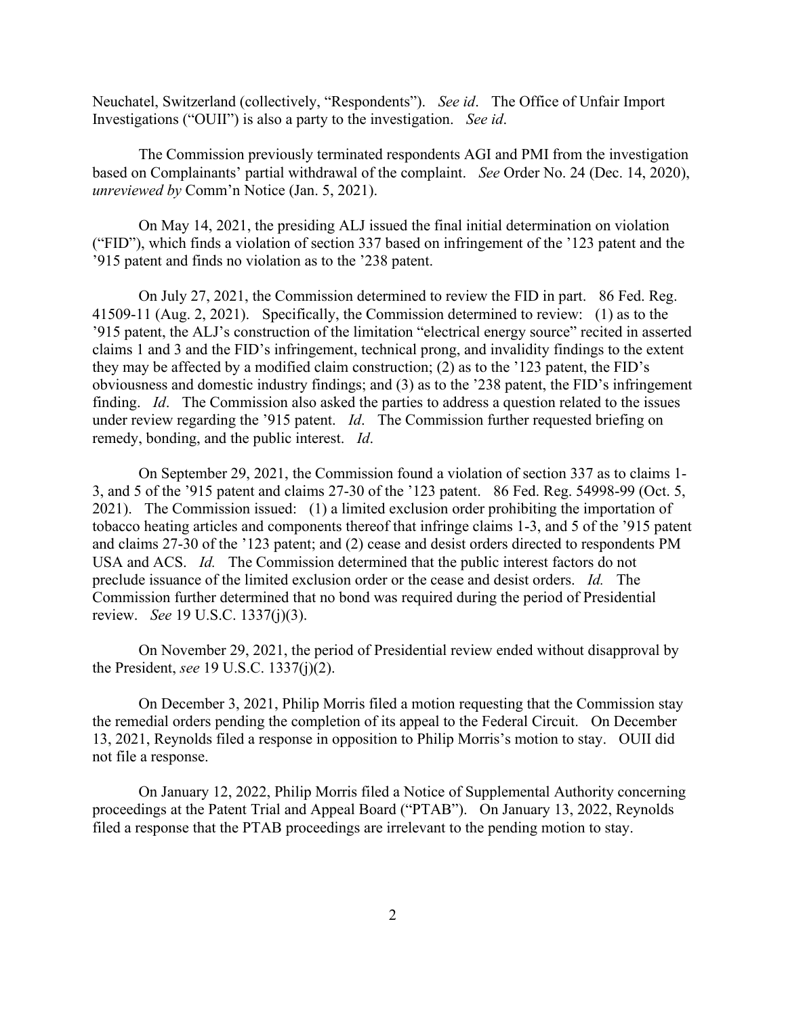Neuchatel, Switzerland (collectively, "Respondents"). *See id*. The Office of Unfair Import Investigations ("OUII") is also a party to the investigation. *See id*.

The Commission previously terminated respondents AGI and PMI from the investigation based on Complainants' partial withdrawal of the complaint. *See* Order No. 24 (Dec. 14, 2020), *unreviewed by* Comm'n Notice (Jan. 5, 2021).

On May 14, 2021, the presiding ALJ issued the final initial determination on violation ("FID"), which finds a violation of section 337 based on infringement of the '123 patent and the '915 patent and finds no violation as to the '238 patent.

On July 27, 2021, the Commission determined to review the FID in part. 86 Fed. Reg. 41509-11 (Aug. 2, 2021). Specifically, the Commission determined to review: (1) as to the '915 patent, the ALJ's construction of the limitation "electrical energy source" recited in asserted claims 1 and 3 and the FID's infringement, technical prong, and invalidity findings to the extent they may be affected by a modified claim construction; (2) as to the '123 patent, the FID's obviousness and domestic industry findings; and (3) as to the '238 patent, the FID's infringement finding. *Id*. The Commission also asked the parties to address a question related to the issues under review regarding the '915 patent. *Id*. The Commission further requested briefing on remedy, bonding, and the public interest. *Id*.

On September 29, 2021, the Commission found a violation of section 337 as to claims 1- 3, and 5 of the '915 patent and claims 27-30 of the '123 patent. 86 Fed. Reg. 54998-99 (Oct. 5, 2021). The Commission issued: (1) a limited exclusion order prohibiting the importation of tobacco heating articles and components thereof that infringe claims 1-3, and 5 of the '915 patent and claims 27-30 of the '123 patent; and (2) cease and desist orders directed to respondents PM USA and ACS. *Id.* The Commission determined that the public interest factors do not preclude issuance of the limited exclusion order or the cease and desist orders. *Id.* The Commission further determined that no bond was required during the period of Presidential review. *See* 19 U.S.C. 1337(j)(3).

On November 29, 2021, the period of Presidential review ended without disapproval by the President, *see* 19 U.S.C. 1337(j)(2).

On December 3, 2021, Philip Morris filed a motion requesting that the Commission stay the remedial orders pending the completion of its appeal to the Federal Circuit. On December 13, 2021, Reynolds filed a response in opposition to Philip Morris's motion to stay. OUII did not file a response.

On January 12, 2022, Philip Morris filed a Notice of Supplemental Authority concerning proceedings at the Patent Trial and Appeal Board ("PTAB"). On January 13, 2022, Reynolds filed a response that the PTAB proceedings are irrelevant to the pending motion to stay.